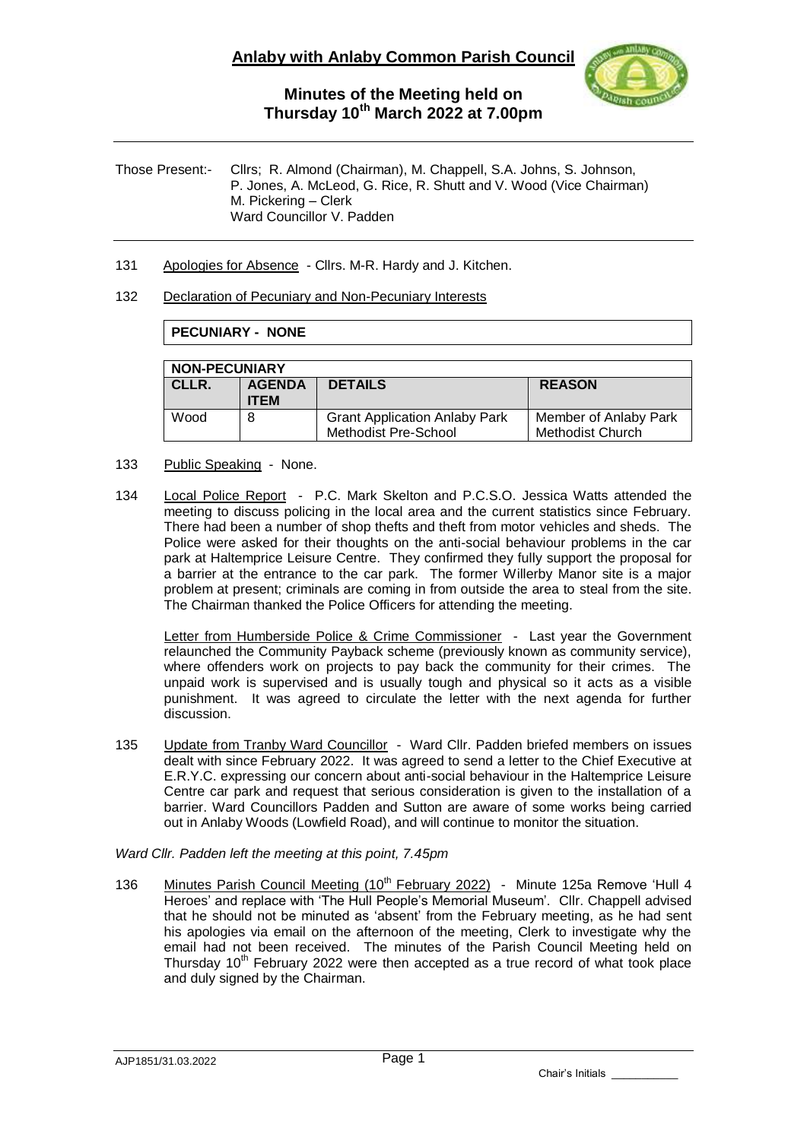

Those Present:- Cllrs; R. Almond (Chairman), M. Chappell, S.A. Johns, S. Johnson, P. Jones, A. McLeod, G. Rice, R. Shutt and V. Wood (Vice Chairman) M. Pickering – Clerk Ward Councillor V. Padden

131 Apologies for Absence - Cllrs. M-R. Hardy and J. Kitchen.

### 132 Declaration of Pecuniary and Non-Pecuniary Interests

## **PECUNIARY - NONE**

| <b>NON-PECUNIARY</b> |                              |                                                              |                                                  |  |  |  |  |
|----------------------|------------------------------|--------------------------------------------------------------|--------------------------------------------------|--|--|--|--|
| CLLR.                | <b>AGENDA</b><br><b>ITEM</b> | <b>DETAILS</b>                                               | <b>REASON</b>                                    |  |  |  |  |
| Wood                 |                              | <b>Grant Application Anlaby Park</b><br>Methodist Pre-School | Member of Anlaby Park<br><b>Methodist Church</b> |  |  |  |  |

- 133 Public Speaking None.
- 134 Local Police Report P.C. Mark Skelton and P.C.S.O. Jessica Watts attended the meeting to discuss policing in the local area and the current statistics since February. There had been a number of shop thefts and theft from motor vehicles and sheds. The Police were asked for their thoughts on the anti-social behaviour problems in the car park at Haltemprice Leisure Centre. They confirmed they fully support the proposal for a barrier at the entrance to the car park. The former Willerby Manor site is a major problem at present; criminals are coming in from outside the area to steal from the site. The Chairman thanked the Police Officers for attending the meeting.

Letter from Humberside Police & Crime Commissioner - Last year the Government relaunched the Community Payback scheme (previously known as community service), where offenders work on projects to pay back the community for their crimes. The unpaid work is supervised and is usually tough and physical so it acts as a visible punishment. It was agreed to circulate the letter with the next agenda for further discussion.

135 Update from Tranby Ward Councillor - Ward Cllr. Padden briefed members on issues dealt with since February 2022. It was agreed to send a letter to the Chief Executive at E.R.Y.C. expressing our concern about anti-social behaviour in the Haltemprice Leisure Centre car park and request that serious consideration is given to the installation of a barrier. Ward Councillors Padden and Sutton are aware of some works being carried out in Anlaby Woods (Lowfield Road), and will continue to monitor the situation.

#### *Ward Cllr. Padden left the meeting at this point, 7.45pm*

136 Minutes Parish Council Meeting (10<sup>th</sup> February 2022) - Minute 125a Remove 'Hull 4 Heroes' and replace with 'The Hull People's Memorial Museum'. Cllr. Chappell advised that he should not be minuted as 'absent' from the February meeting, as he had sent his apologies via email on the afternoon of the meeting, Clerk to investigate why the email had not been received. The minutes of the Parish Council Meeting held on Thursday  $10<sup>th</sup>$  February 2022 were then accepted as a true record of what took place and duly signed by the Chairman.

Chair's Initials \_\_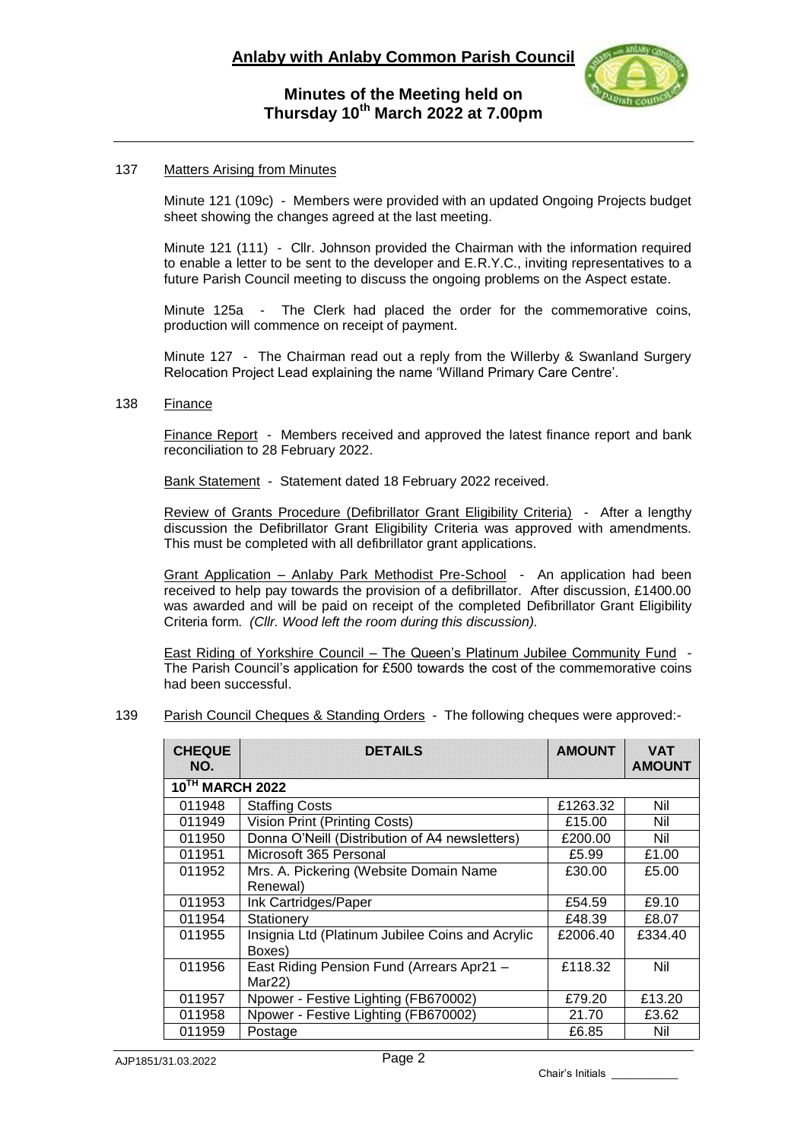

## 137 Matters Arising from Minutes

Minute 121 (109c) - Members were provided with an updated Ongoing Projects budget sheet showing the changes agreed at the last meeting.

Minute 121 (111) - Cllr. Johnson provided the Chairman with the information required to enable a letter to be sent to the developer and E.R.Y.C., inviting representatives to a future Parish Council meeting to discuss the ongoing problems on the Aspect estate.

Minute 125a - The Clerk had placed the order for the commemorative coins, production will commence on receipt of payment.

Minute 127 - The Chairman read out a reply from the Willerby & Swanland Surgery Relocation Project Lead explaining the name 'Willand Primary Care Centre'.

### 138 Finance

Finance Report - Members received and approved the latest finance report and bank reconciliation to 28 February 2022.

Bank Statement - Statement dated 18 February 2022 received.

Review of Grants Procedure (Defibrillator Grant Eligibility Criteria) - After a lengthy discussion the Defibrillator Grant Eligibility Criteria was approved with amendments. This must be completed with all defibrillator grant applications.

Grant Application – Anlaby Park Methodist Pre-School - An application had been received to help pay towards the provision of a defibrillator. After discussion, £1400.00 was awarded and will be paid on receipt of the completed Defibrillator Grant Eligibility Criteria form. *(Cllr. Wood left the room during this discussion).*

East Riding of Yorkshire Council – The Queen's Platinum Jubilee Community Fund - The Parish Council's application for £500 towards the cost of the commemorative coins had been successful.

## 139 Parish Council Cheques & Standing Orders - The following cheques were approved:-

| <b>CHEQUE</b><br>NO.                     | <b>DETAILS</b>                                   | <b>AMOUNT</b> | <b>VAT</b><br><b>AMOUNT</b> |  |  |  |  |
|------------------------------------------|--------------------------------------------------|---------------|-----------------------------|--|--|--|--|
| $\overline{10}$ <sup>TH</sup> MARCH 2022 |                                                  |               |                             |  |  |  |  |
| 011948                                   | <b>Staffing Costs</b>                            | £1263.32      | Nil                         |  |  |  |  |
| 011949                                   | <b>Vision Print (Printing Costs)</b>             | £15.00        | Nil                         |  |  |  |  |
| 011950                                   | Donna O'Neill (Distribution of A4 newsletters)   | £200.00       | Nil                         |  |  |  |  |
| 011951                                   | Microsoft 365 Personal                           | £5.99         | £1.00                       |  |  |  |  |
| 011952                                   | Mrs. A. Pickering (Website Domain Name           | £30.00        | £5.00                       |  |  |  |  |
|                                          | Renewal)                                         |               |                             |  |  |  |  |
| 011953                                   | Ink Cartridges/Paper                             | £54.59        | £9.10                       |  |  |  |  |
| 011954                                   | Stationery                                       | £48.39        | £8.07                       |  |  |  |  |
| 011955                                   | Insignia Ltd (Platinum Jubilee Coins and Acrylic | £2006.40      | £334.40                     |  |  |  |  |
|                                          | Boxes)                                           |               |                             |  |  |  |  |
| 011956                                   | East Riding Pension Fund (Arrears Apr21 -        |               | Nil                         |  |  |  |  |
|                                          | Mar22                                            |               |                             |  |  |  |  |
| 011957                                   | Npower - Festive Lighting (FB670002)             | £79.20        | £13.20                      |  |  |  |  |
| 011958                                   | Npower - Festive Lighting (FB670002)             | 21.70         | £3.62                       |  |  |  |  |
| 011959                                   | Postage                                          | £6.85         | Nil                         |  |  |  |  |

Chair's Initials \_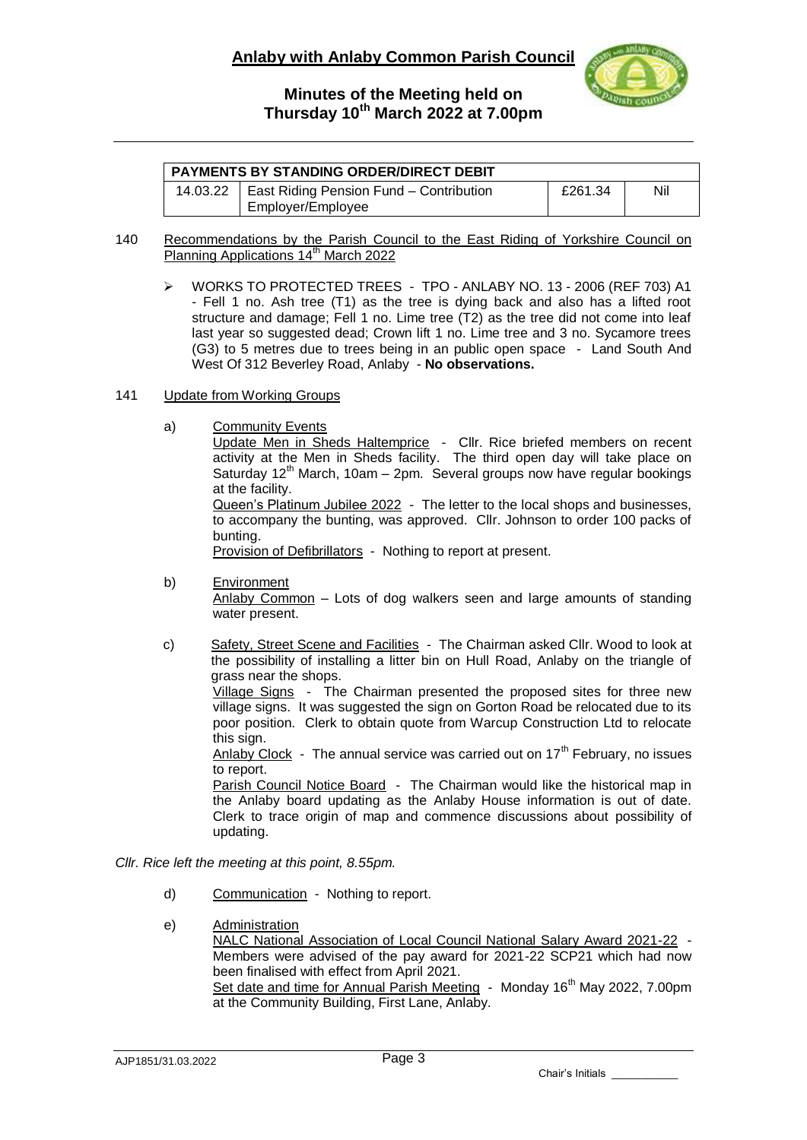

| <b>PAYMENTS BY STANDING ORDER/DIRECT DEBIT</b> |                                         |         |     |  |  |
|------------------------------------------------|-----------------------------------------|---------|-----|--|--|
| 14.03.22                                       | East Riding Pension Fund – Contribution | £261.34 | Nil |  |  |
|                                                | Employer/Employee                       |         |     |  |  |

#### 140 Recommendations by the Parish Council to the East Riding of Yorkshire Council on Planning Applications 14<sup>th</sup> March 2022

 WORKS TO PROTECTED TREES - TPO - ANLABY NO. 13 - 2006 (REF 703) A1 - Fell 1 no. Ash tree (T1) as the tree is dying back and also has a lifted root structure and damage; Fell 1 no. Lime tree (T2) as the tree did not come into leaf last year so suggested dead; Crown lift 1 no. Lime tree and 3 no. Sycamore trees (G3) to 5 metres due to trees being in an public open space - Land South And West Of 312 Beverley Road, Anlaby - **No observations.**

### 141 Update from Working Groups

a) Community Events

Update Men in Sheds Haltemprice - Cllr. Rice briefed members on recent activity at the Men in Sheds facility. The third open day will take place on Saturday  $12<sup>th</sup>$  March, 10am – 2pm. Several groups now have regular bookings at the facility.

Queen's Platinum Jubilee 2022 - The letter to the local shops and businesses, to accompany the bunting, was approved. Cllr. Johnson to order 100 packs of bunting.

Provision of Defibrillators - Nothing to report at present.

b) Environment

Anlaby Common – Lots of dog walkers seen and large amounts of standing water present.

c) Safety, Street Scene and Facilities - The Chairman asked Cllr. Wood to look at the possibility of installing a litter bin on Hull Road, Anlaby on the triangle of grass near the shops.

Village Signs - The Chairman presented the proposed sites for three new village signs. It was suggested the sign on Gorton Road be relocated due to its poor position. Clerk to obtain quote from Warcup Construction Ltd to relocate this sign.

Anlaby Clock - The annual service was carried out on  $17<sup>th</sup>$  February, no issues to report.

Parish Council Notice Board - The Chairman would like the historical map in the Anlaby board updating as the Anlaby House information is out of date. Clerk to trace origin of map and commence discussions about possibility of updating.

## *Cllr. Rice left the meeting at this point, 8.55pm.*

- d) Communication Nothing to report.
- e) Administration NALC National Association of Local Council National Salary Award 2021-22 - Members were advised of the pay award for 2021-22 SCP21 which had now been finalised with effect from April 2021. Set date and time for Annual Parish Meeting - Monday 16<sup>th</sup> May 2022, 7.00pm at the Community Building, First Lane, Anlaby.

Chair's Initials \_\_\_\_\_\_\_\_\_\_\_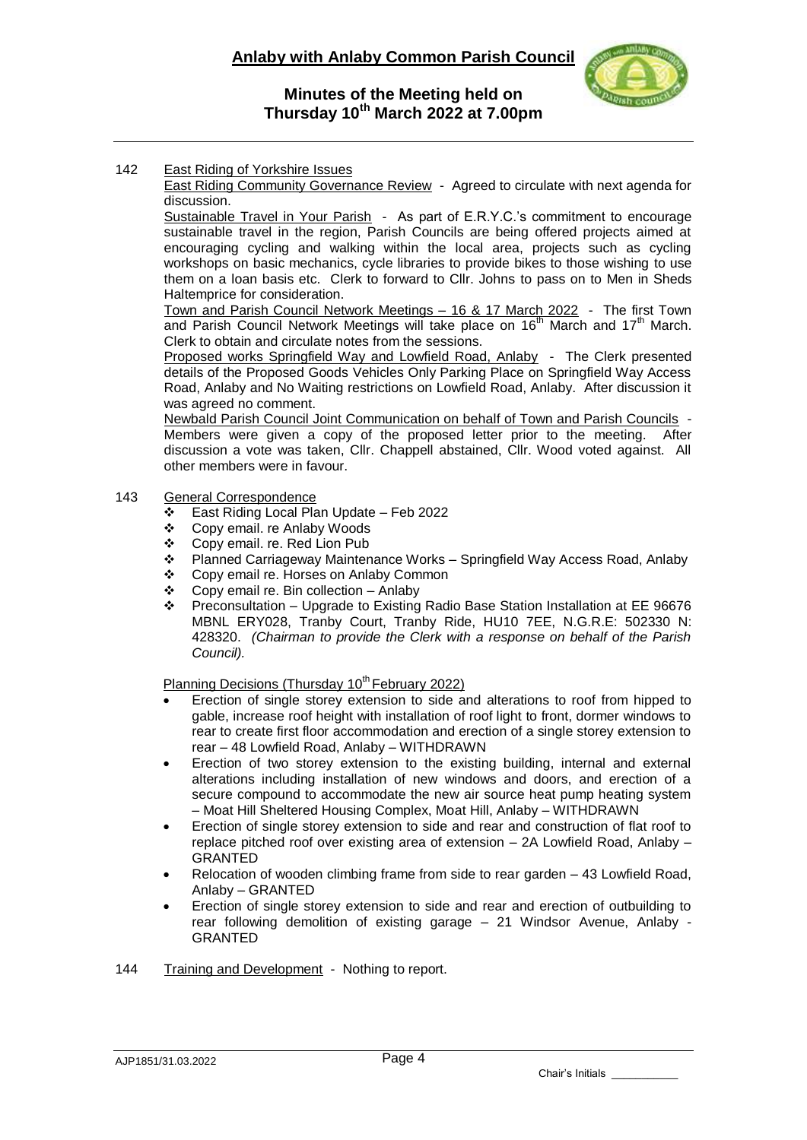

### 142 East Riding of Yorkshire Issues

East Riding Community Governance Review - Agreed to circulate with next agenda for discussion.

Sustainable Travel in Your Parish - As part of E.R.Y.C.'s commitment to encourage sustainable travel in the region, Parish Councils are being offered projects aimed at encouraging cycling and walking within the local area, projects such as cycling workshops on basic mechanics, cycle libraries to provide bikes to those wishing to use them on a loan basis etc. Clerk to forward to Cllr. Johns to pass on to Men in Sheds Haltemprice for consideration.

Town and Parish Council Network Meetings – 16 & 17 March 2022 - The first Town and Parish Council Network Meetings will take place on  $16<sup>th</sup>$  March and  $17<sup>th</sup>$  March. Clerk to obtain and circulate notes from the sessions.

Proposed works Springfield Way and Lowfield Road, Anlaby - The Clerk presented details of the Proposed Goods Vehicles Only Parking Place on Springfield Way Access Road, Anlaby and No Waiting restrictions on Lowfield Road, Anlaby. After discussion it was agreed no comment.

Newbald Parish Council Joint Communication on behalf of Town and Parish Councils - Members were given a copy of the proposed letter prior to the meeting. After discussion a vote was taken, Cllr. Chappell abstained, Cllr. Wood voted against. All other members were in favour.

## 143 General Correspondence

- East Riding Local Plan Update Feb 2022
- Copy email. re Anlaby Woods
- ❖ Copy email. re. Red Lion Pub<br>❖ Planned Carriageway Mainter
- Planned Carriageway Maintenance Works Springfield Way Access Road, Anlaby
- Copy email re. Horses on Anlaby Common
- $\div$  Copy email re. Bin collection Anlaby
- Preconsultation Upgrade to Existing Radio Base Station Installation at EE 96676 MBNL ERY028, Tranby Court, Tranby Ride, HU10 7EE, N.G.R.E: 502330 N: 428320. *(Chairman to provide the Clerk with a response on behalf of the Parish Council).*

Planning Decisions (Thursday  $10<sup>th</sup>$  February 2022)

- Erection of single storey extension to side and alterations to roof from hipped to gable, increase roof height with installation of roof light to front, dormer windows to rear to create first floor accommodation and erection of a single storey extension to rear – 48 Lowfield Road, Anlaby – WITHDRAWN
- Erection of two storey extension to the existing building, internal and external alterations including installation of new windows and doors, and erection of a secure compound to accommodate the new air source heat pump heating system – Moat Hill Sheltered Housing Complex, Moat Hill, Anlaby – WITHDRAWN
- Erection of single storey extension to side and rear and construction of flat roof to replace pitched roof over existing area of extension – 2A Lowfield Road, Anlaby – GRANTED
- Relocation of wooden climbing frame from side to rear garden 43 Lowfield Road, Anlaby – GRANTED
- Erection of single storey extension to side and rear and erection of outbuilding to rear following demolition of existing garage – 21 Windsor Avenue, Anlaby - GRANTED
- 144 Training and Development Nothing to report.